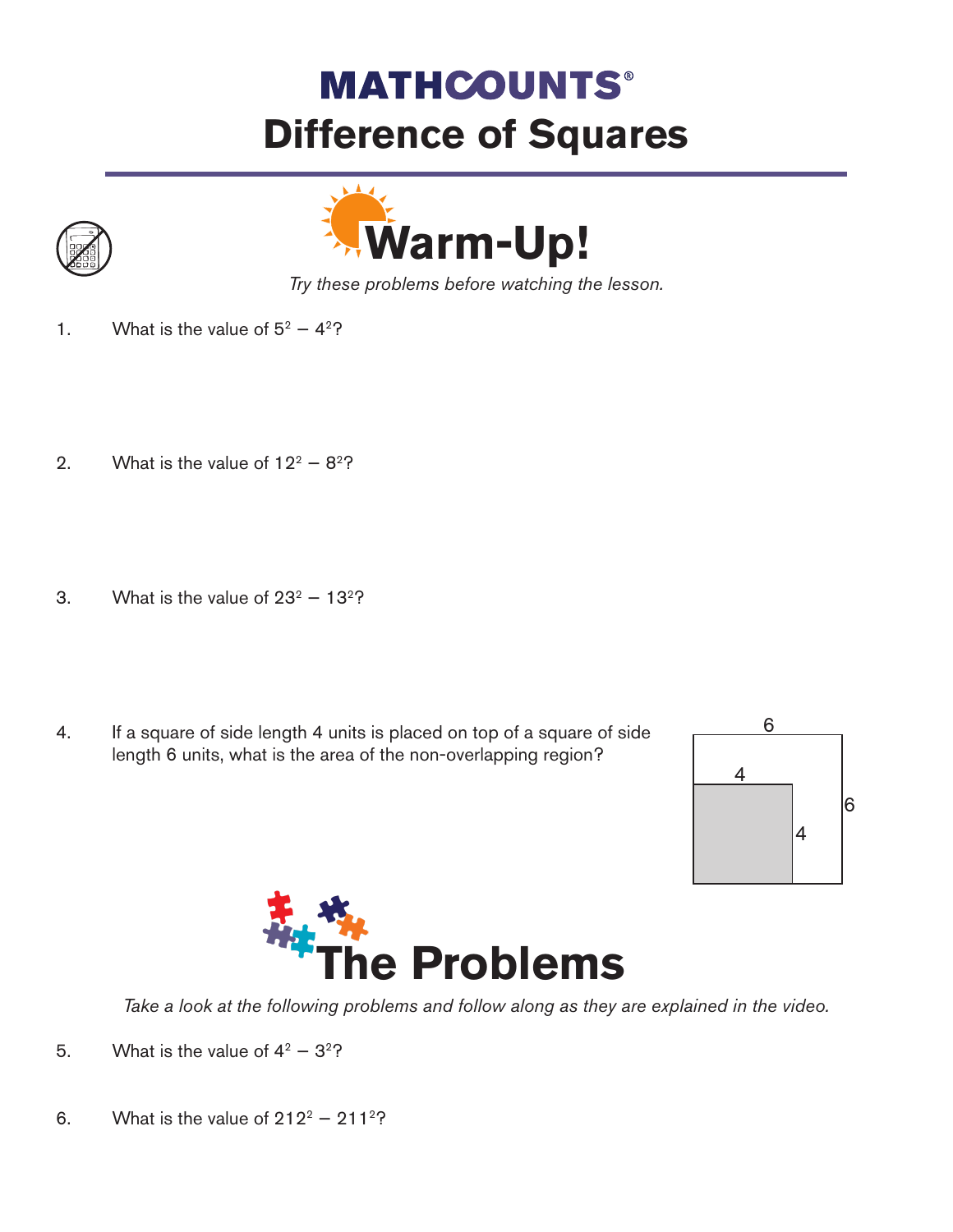## **MATHCOUNTS® Difference of Squares**





*Try these problems before watching the lesson.*

- 1. What is the value of  $5^2 4^2$ ?
- 2. What is the value of  $12^2 8^2$ ?
- 3. What is the value of  $23^2 13^2$ ?
- 4. If a square of side length 4 units is placed on top of a square of side length 6 units, what is the area of the non-overlapping region?





*Take a look at the following problems and follow along as they are explained in the video.*

- 5. What is the value of  $4^2 3^2$ ?
- 6. What is the value of  $212^2 211^2$ ?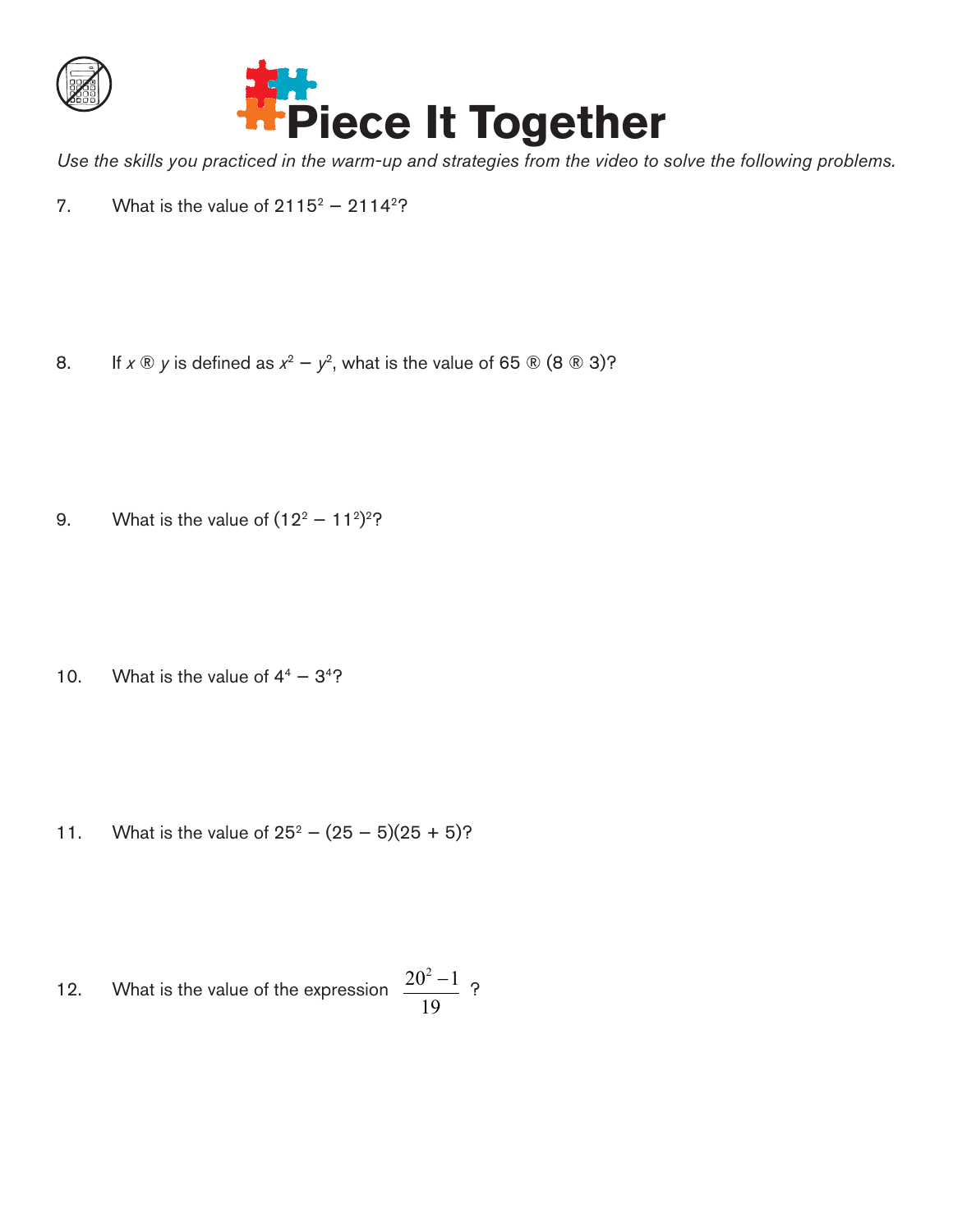



*Use the skills you practiced in the warm-up and strategies from the video to solve the following problems.*

7. What is the value of  $2115^2 - 2114^2$ ?

8. If  $x \otimes y$  is defined as  $x^2 - y^2$ , what is the value of 65  $\otimes$  (8  $\otimes$  3)?

9. What is the value of  $(12^2 - 11^2)^2$ ?

10. What is the value of  $4^4 - 3^4$ ?

11. What is the value of  $25^2 - (25 - 5)(25 + 5)$ ?

12. What is the value of the expression 
$$
\frac{20^2 - 1}{19}
$$
?